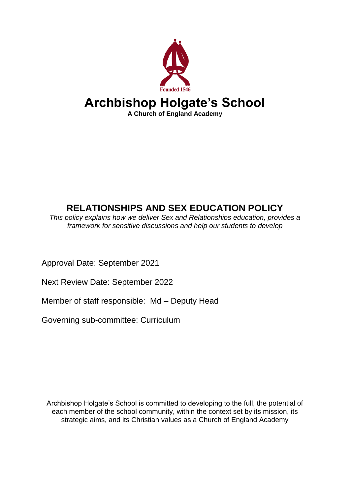

# **RELATIONSHIPS AND SEX EDUCATION POLICY**

*This policy explains how we deliver Sex and Relationships education, provides a framework for sensitive discussions and help our students to develop*

Approval Date: September 2021

Next Review Date: September 2022

Member of staff responsible: Md – Deputy Head

Governing sub-committee: Curriculum

Archbishop Holgate's School is committed to developing to the full, the potential of each member of the school community, within the context set by its mission, its strategic aims, and its Christian values as a Church of England Academy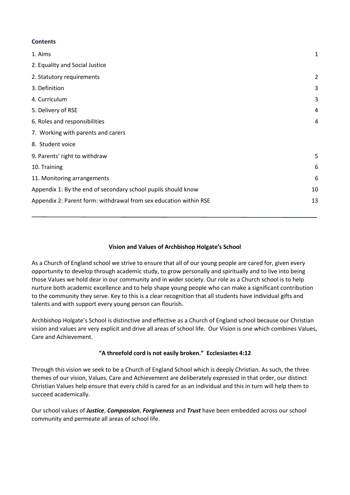#### <span id="page-1-0"></span>**Contents**

| 1. Aims                                                           | 1              |
|-------------------------------------------------------------------|----------------|
| 2. Equality and Social Justice                                    |                |
| 2. Statutory requirements                                         | $\overline{2}$ |
| 3. Definition                                                     | 3              |
| 4. Curriculum                                                     | 3              |
| 5. Delivery of RSE                                                | 4              |
| 6. Roles and responsibilities                                     | 4              |
| 7. Working with parents and carers                                |                |
| 8. Student voice                                                  |                |
| 9. Parents' right to withdraw                                     | 5              |
| 10. Training                                                      | 6              |
| 11. Monitoring arrangements                                       | 6              |
| Appendix 1: By the end of secondary school pupils should know     | 10             |
| Appendix 2: Parent form: withdrawal from sex education within RSE | 13             |
|                                                                   |                |

### **Vision and Values of Archbishop Holgate's School**

As a Church of England school we strive to ensure that all of our young people are cared for, given every opportunity to develop through academic study, to grow personally and spiritually and to live into being those Values we hold dear in our community and in wider society. Our role as a Church school is to help nurture both academic excellence and to help shape young people who can make a significant contribution to the community they serve. Key to this is a clear recognition that all students have individual gifts and talents and with support every young person can flourish.

Archbishop Holgate's School is distinctive and effective as a Church of England school because our Christian vision and values are very explicit and drive all areas of school life. Our Vision is one which combines Values, Care and Achievement.

### **"A threefold cord is not easily broken." Ecclesiastes 4:12**

Through this vision we seek to be a Church of England School which is deeply Christian. As such, the three themes of our vision, Values, Care and Achievement are deliberately expressed in that order, our distinct Christian Values help ensure that every child is cared for as an individual and this in turn will help them to succeed academically.

Our school values of *Justice*, *Compassion*, *Forgiveness* and *Trust* have been embedded across our school community and permeate all areas of school life.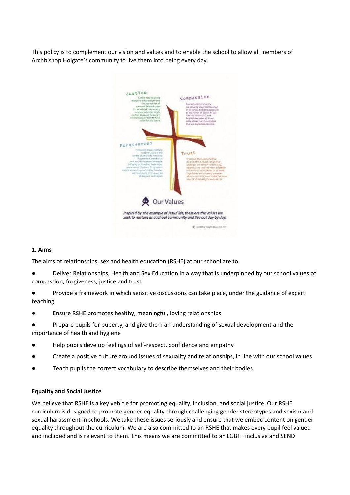This policy is to complement our vision and values and to enable the school to allow all members of Archbishop Holgate's community to live them into being every day.



#### **1. Aims**

The aims of relationships, sex and health education (RSHE) at our school are to:

Deliver Relationships, Health and Sex Education in a way that is underpinned by our school values of compassion, forgiveness, justice and trust

● Provide a framework in which sensitive discussions can take place, under the guidance of expert teaching

● Ensure RSHE promotes healthy, meaningful, loving relationships

Prepare pupils for puberty, and give them an understanding of sexual development and the importance of health and hygiene

- Help pupils develop feelings of self-respect, confidence and empathy
- Create a positive culture around issues of sexuality and relationships, in line with our school values
- Teach pupils the correct vocabulary to describe themselves and their bodies

#### **Equality and Social Justice**

<span id="page-2-0"></span>We believe that RSHE is a key vehicle for promoting equality, inclusion, and social justice. Our RSHE curriculum is designed to promote gender equality through challenging gender stereotypes and sexism and sexual harassment in schools. We take these issues seriously and ensure that we embed content on gender equality throughout the curriculum. We are also committed to an RSHE that makes every pupil feel valued and included and is relevant to them. This means we are committed to an LGBT+ inclusive and SEND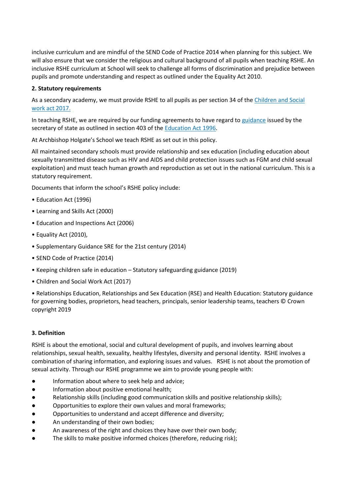inclusive curriculum and are mindful of the SEND Code of Practice 2014 when planning for this subject. We will also ensure that we consider the religious and cultural background of all pupils when teaching RSHE. An inclusive RSHE curriculum at School will seek to challenge all forms of discrimination and prejudice between pupils and promote understanding and respect as outlined under the Equality Act 2010.

### **2. Statutory requirements**

As a secondary academy, we must provide RSHE to all pupils as per section 34 of th[e Children and Social](http://www.legislation.gov.uk/ukpga/2017/16/section/34/enacted)  [work act 2017.](http://www.legislation.gov.uk/ukpga/2017/16/section/34/enacted)

In teaching RSHE, we are required by our funding agreements to have regard to [guidance](https://www.gov.uk/government/consultations/relationships-and-sex-education-and-health-education) issued by the secretary of state as outlined in section 403 of the [Education Act 1996.](http://www.legislation.gov.uk/ukpga/1996/56/contents)

At Archbishop Holgate's School we teach RSHE as set out in this policy.

All maintained secondary schools must provide relationship and sex education (including education about sexually transmitted disease such as HIV and AIDS and child protection issues such as FGM and child sexual exploitation) and must teach human growth and reproduction as set out in the national curriculum. This is a statutory requirement.

Documents that inform the school's RSHE policy include:

- Education Act (1996)
- Learning and Skills Act (2000)
- Education and Inspections Act (2006)
- Equality Act (2010),
- Supplementary Guidance SRE for the 21st century (2014)
- SEND Code of Practice (2014)
- Keeping children safe in education Statutory safeguarding guidance (2019)
- Children and Social Work Act (2017)

• Relationships Education, Relationships and Sex Education (RSE) and Health Education: Statutory guidance for governing bodies, proprietors, head teachers, principals, senior leadership teams, teachers © Crown copyright 2019

### **3. Definition**

RSHE is about the emotional, social and cultural development of pupils, and involves learning about relationships, sexual health, sexuality, healthy lifestyles, diversity and personal identity. RSHE involves a combination of sharing information, and exploring issues and values. RSHE is not about the promotion of sexual activity. Through our RSHE programme we aim to provide young people with:

- Information about where to seek help and advice;
- Information about positive emotional health;
- Relationship skills (including good communication skills and positive relationship skills);
- Opportunities to explore their own values and moral frameworks;
- Opportunities to understand and accept difference and diversity;
- An understanding of their own bodies;
- An awareness of the right and choices they have over their own body;
- The skills to make positive informed choices (therefore, reducing risk);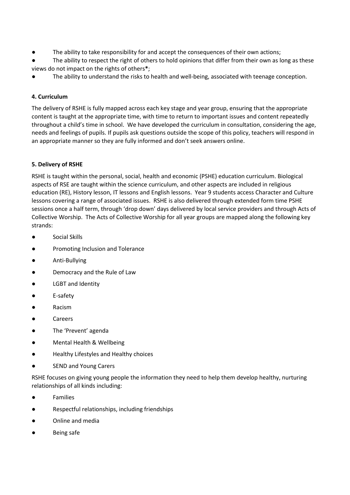- The ability to take responsibility for and accept the consequences of their own actions;
- The ability to respect the right of others to hold opinions that differ from their own as long as these views do not impact on the rights of others**\***;
- <span id="page-4-0"></span>The ability to understand the risks to health and well-being, associated with teenage conception.

# **4. Curriculum**

<span id="page-4-1"></span>The delivery of RSHE is fully mapped across each key stage and year group, ensuring that the appropriate content is taught at the appropriate time, with time to return to important issues and content repeatedly throughout a child's time in school. We have developed the curriculum in consultation, considering the age, needs and feelings of pupils. If pupils ask questions outside the scope of this policy, teachers will respond in an appropriate manner so they are fully informed and don't seek answers online.

# **5. Delivery of RSHE**

RSHE is taught within the personal, social, health and economic (PSHE) education curriculum. Biological aspects of RSE are taught within the science curriculum, and other aspects are included in religious education (RE), History lesson, IT lessons and English lessons. Year 9 students access Character and Culture lessons covering a range of associated issues. RSHE is also delivered through extended form time PSHE sessions once a half term, through 'drop down' days delivered by local service providers and through Acts of Collective Worship. The Acts of Collective Worship for all year groups are mapped along the following key strands:

- Social Skills
- Promoting Inclusion and Tolerance
- Anti-Bullying
- Democracy and the Rule of Law
- LGBT and Identity
- E-safety
- Racism
- Careers
- The 'Prevent' agenda
- Mental Health & Wellbeing
- Healthy Lifestyles and Healthy choices
- SEND and Young Carers

RSHE focuses on giving young people the information they need to help them develop healthy, nurturing relationships of all kinds including:

- **Families**
- Respectful relationships, including friendships
- Online and media
- Being safe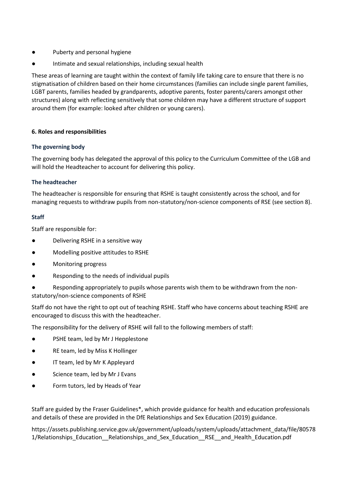- Puberty and personal hygiene
- Intimate and sexual relationships, including sexual health

These areas of learning are taught within the context of family life taking care to ensure that there is no stigmatisation of children based on their home circumstances (families can include single parent families, LGBT parents, families headed by grandparents, adoptive parents, foster parents/carers amongst other structures) along with reflecting sensitively that some children may have a different structure of support around them (for example: looked after children or young carers).

### <span id="page-5-0"></span>**6. Roles and responsibilities**

#### **The governing body**

The governing body has delegated the approval of this policy to the Curriculum Committee of the LGB and will hold the Headteacher to account for delivering this policy.

### **The headteacher**

The headteacher is responsible for ensuring that RSHE is taught consistently across the school, and for managing requests to withdraw pupils from non-statutory/non-science components of RSE (see section 8).

#### **Staff**

Staff are responsible for:

- Delivering RSHE in a sensitive way
- Modelling positive attitudes to RSHE
- Monitoring progress
- Responding to the needs of individual pupils
- Responding appropriately to pupils whose parents wish them to be withdrawn from the nonstatutory/non-science components of RSHE

Staff do not have the right to opt out of teaching RSHE. Staff who have concerns about teaching RSHE are encouraged to discuss this with the headteacher.

The responsibility for the delivery of RSHE will fall to the following members of staff:

- PSHE team, led by Mr J Hepplestone
- RE team, led by Miss K Hollinger
- IT team, led by Mr K Appleyard
- Science team, led by Mr J Evans
- Form tutors, led by Heads of Year

Staff are guided by the Fraser Guidelines\*, which provide guidance for health and education professionals and details of these are provided in the DfE Relationships and Sex Education (2019) guidance.

https://assets.publishing.service.gov.uk/government/uploads/system/uploads/attachment\_data/file/80578 1/Relationships\_Education\_\_Relationships\_and\_Sex\_Education\_\_RSE\_\_and\_Health\_Education.pdf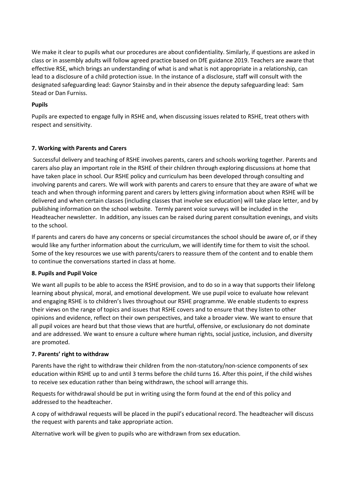We make it clear to pupils what our procedures are about confidentiality. Similarly, if questions are asked in class or in assembly adults will follow agreed practice based on DfE guidance 2019. Teachers are aware that effective RSE, which brings an understanding of what is and what is not appropriate in a relationship, can lead to a disclosure of a child protection issue. In the instance of a disclosure, staff will consult with the designated safeguarding lead: Gaynor Stainsby and in their absence the deputy safeguarding lead: Sam Stead or Dan Furniss.

# **Pupils**

<span id="page-6-0"></span>Pupils are expected to engage fully in RSHE and, when discussing issues related to RSHE, treat others with respect and sensitivity.

### **7. Working with Parents and Carers**

Successful delivery and teaching of RSHE involves parents, carers and schools working together. Parents and carers also play an important role in the RSHE of their children through exploring discussions at home that have taken place in school. Our RSHE policy and curriculum has been developed through consulting and involving parents and carers. We will work with parents and carers to ensure that they are aware of what we teach and when through informing parent and carers by letters giving information about when RSHE will be delivered and when certain classes (including classes that involve sex education) will take place letter, and by publishing information on the school website. Termly parent voice surveys will be included in the Headteacher newsletter. In addition, any issues can be raised during parent consultation evenings, and visits to the school.

If parents and carers do have any concerns or special circumstances the school should be aware of, or if they would like any further information about the curriculum, we will identify time for them to visit the school. Some of the key resources we use with parents/carers to reassure them of the content and to enable them to continue the conversations started in class at home.

### **8. Pupils and Pupil Voice**

We want all pupils to be able to access the RSHE provision, and to do so in a way that supports their lifelong learning about physical, moral, and emotional development. We use pupil voice to evaluate how relevant and engaging RSHE is to children's lives throughout our RSHE programme. We enable students to express their views on the range of topics and issues that RSHE covers and to ensure that they listen to other opinions and evidence, reflect on their own perspectives, and take a broader view. We want to ensure that all pupil voices are heard but that those views that are hurtful, offensive, or exclusionary do not dominate and are addressed. We want to ensure a culture where human rights, social justice, inclusion, and diversity are promoted.

### **7. Parents' right to withdraw**

Parents have the right to withdraw their children from the non-statutory/non-science components of sex education within RSHE up to and until 3 terms before the child turns 16. After this point, if the child wishes to receive sex education rather than being withdrawn, the school will arrange this.

Requests for withdrawal should be put in writing using the form found at the end of this policy and addressed to the headteacher.

A copy of withdrawal requests will be placed in the pupil's educational record. The headteacher will discuss the request with parents and take appropriate action.

Alternative work will be given to pupils who are withdrawn from sex education.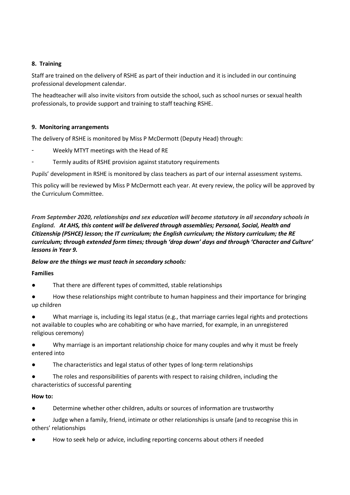# <span id="page-7-0"></span>**8. Training**

Staff are trained on the delivery of RSHE as part of their induction and it is included in our continuing professional development calendar.

The headteacher will also invite visitors from outside the school, such as school nurses or sexual health professionals, to provide support and training to staff teaching RSHE.

### <span id="page-7-1"></span>**9. Monitoring arrangements**

The delivery of RSHE is monitored by Miss P McDermott (Deputy Head) through:

- Weekly MTYT meetings with the Head of RE
- Termly audits of RSHE provision against statutory requirements

Pupils' development in RSHE is monitored by class teachers as part of our internal assessment systems.

This policy will be reviewed by Miss P McDermott each year. At every review, the policy will be approved by the Curriculum Committee.

*From September 2020, relationships and sex education will become statutory in all secondary schools in England. At AHS, this content will be delivered through assemblies; Personal, Social, Health and Citizenship (PSHCE) lesson; the IT curriculum; the English curriculum; the History curriculum; the RE curriculum; through extended form times; through 'drop down' days and through 'Character and Culture' lessons in Year 9.*

### *Below are the things we must teach in secondary schools:*

### **Families**

- That there are different types of committed, stable relationships
- How these relationships might contribute to human happiness and their importance for bringing up children
- What marriage is, including its legal status (e.g., that marriage carries legal rights and protections not available to couples who are cohabiting or who have married, for example, in an unregistered religious ceremony)
- Why marriage is an important relationship choice for many couples and why it must be freely entered into
- The characteristics and legal status of other types of long-term relationships
- The roles and responsibilities of parents with respect to raising children, including the characteristics of successful parenting

### **How to:**

- Determine whether other children, adults or sources of information are trustworthy
- Judge when a family, friend, intimate or other relationships is unsafe (and to recognise this in others' relationships
- How to seek help or advice, including reporting concerns about others if needed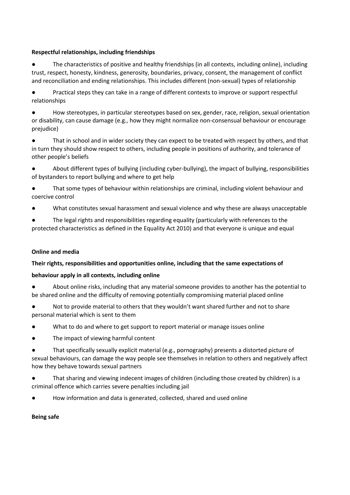# **Respectful relationships, including friendships**

● The characteristics of positive and healthy friendships (in all contexts, including online), including trust, respect, honesty, kindness, generosity, boundaries, privacy, consent, the management of conflict and reconciliation and ending relationships. This includes different (non-sexual) types of relationship

● Practical steps they can take in a range of different contexts to improve or support respectful relationships

How stereotypes, in particular stereotypes based on sex, gender, race, religion, sexual orientation or disability, can cause damage (e.g., how they might normalize non-consensual behaviour or encourage prejudice)

That in school and in wider society they can expect to be treated with respect by others, and that in turn they should show respect to others, including people in positions of authority, and tolerance of other people's beliefs

- About different types of bullying (including cyber-bullying), the impact of bullying, responsibilities of bystanders to report bullying and where to get help
- That some types of behaviour within relationships are criminal, including violent behaviour and coercive control
- What constitutes sexual harassment and sexual violence and why these are always unacceptable
- The legal rights and responsibilities regarding equality (particularly with references to the protected characteristics as defined in the Equality Act 2010) and that everyone is unique and equal

### **Online and media**

### **Their rights, responsibilities and opportunities online, including that the same expectations of**

### **behaviour apply in all contexts, including online**

- About online risks, including that any material someone provides to another has the potential to be shared online and the difficulty of removing potentially compromising material placed online
- Not to provide material to others that they wouldn't want shared further and not to share personal material which is sent to them
- What to do and where to get support to report material or manage issues online
- The impact of viewing harmful content
- That specifically sexually explicit material (e.g., pornography) presents a distorted picture of sexual behaviours, can damage the way people see themselves in relation to others and negatively affect how they behave towards sexual partners
- That sharing and viewing indecent images of children (including those created by children) is a criminal offence which carries severe penalties including jail
- How information and data is generated, collected, shared and used online

### **Being safe**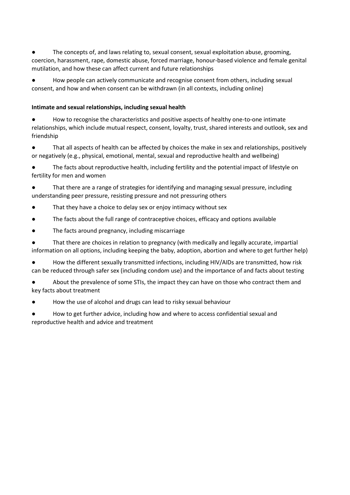The concepts of, and laws relating to, sexual consent, sexual exploitation abuse, grooming, coercion, harassment, rape, domestic abuse, forced marriage, honour-based violence and female genital mutilation, and how these can affect current and future relationships

How people can actively communicate and recognise consent from others, including sexual consent, and how and when consent can be withdrawn (in all contexts, including online)

### **Intimate and sexual relationships, including sexual health**

How to recognise the characteristics and positive aspects of healthy one-to-one intimate relationships, which include mutual respect, consent, loyalty, trust, shared interests and outlook, sex and friendship

That all aspects of health can be affected by choices the make in sex and relationships, positively or negatively (e.g., physical, emotional, mental, sexual and reproductive health and wellbeing)

The facts about reproductive health, including fertility and the potential impact of lifestyle on fertility for men and women

That there are a range of strategies for identifying and managing sexual pressure, including understanding peer pressure, resisting pressure and not pressuring others

- That they have a choice to delay sex or enjoy intimacy without sex
- The facts about the full range of contraceptive choices, efficacy and options available
- The facts around pregnancy, including miscarriage

That there are choices in relation to pregnancy (with medically and legally accurate, impartial information on all options, including keeping the baby, adoption, abortion and where to get further help)

How the different sexually transmitted infections, including HIV/AIDs are transmitted, how risk can be reduced through safer sex (including condom use) and the importance of and facts about testing

● About the prevalence of some STIs, the impact they can have on those who contract them and key facts about treatment

How the use of alcohol and drugs can lead to risky sexual behaviour

How to get further advice, including how and where to access confidential sexual and reproductive health and advice and treatment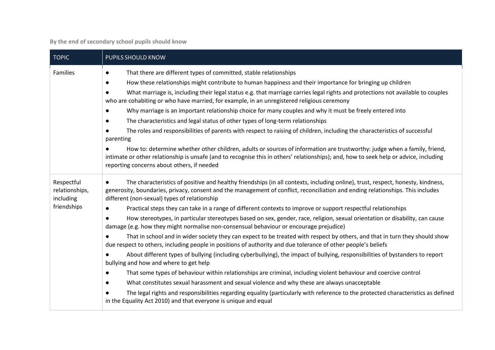**By the end of secondary school pupils should know**

<span id="page-10-0"></span>

| <b>TOPIC</b>                                             | PUPILS SHOULD KNOW                                                                                                                                                                                                                                                                                                                                                                                                                                                                                                                                                                                                                                                                                                                                                                                                                                                                                                                                                                                                                                                                                                                                                                                                                                                                                                                                                                                                                                                                                                                             |  |
|----------------------------------------------------------|------------------------------------------------------------------------------------------------------------------------------------------------------------------------------------------------------------------------------------------------------------------------------------------------------------------------------------------------------------------------------------------------------------------------------------------------------------------------------------------------------------------------------------------------------------------------------------------------------------------------------------------------------------------------------------------------------------------------------------------------------------------------------------------------------------------------------------------------------------------------------------------------------------------------------------------------------------------------------------------------------------------------------------------------------------------------------------------------------------------------------------------------------------------------------------------------------------------------------------------------------------------------------------------------------------------------------------------------------------------------------------------------------------------------------------------------------------------------------------------------------------------------------------------------|--|
| Families                                                 | That there are different types of committed, stable relationships<br>$\bullet$<br>How these relationships might contribute to human happiness and their importance for bringing up children<br>$\bullet$<br>What marriage is, including their legal status e.g. that marriage carries legal rights and protections not available to couples<br>who are cohabiting or who have married, for example, in an unregistered religious ceremony<br>Why marriage is an important relationship choice for many couples and why it must be freely entered into<br>The characteristics and legal status of other types of long-term relationships<br>$\bullet$<br>The roles and responsibilities of parents with respect to raising of children, including the characteristics of successful<br>parenting<br>How to: determine whether other children, adults or sources of information are trustworthy: judge when a family, friend,<br>intimate or other relationship is unsafe (and to recognise this in others' relationships); and, how to seek help or advice, including<br>reporting concerns about others, if needed                                                                                                                                                                                                                                                                                                                                                                                                                             |  |
| Respectful<br>relationships,<br>including<br>friendships | The characteristics of positive and healthy friendships (in all contexts, including online), trust, respect, honesty, kindness,<br>generosity, boundaries, privacy, consent and the management of conflict, reconciliation and ending relationships. This includes<br>different (non-sexual) types of relationship<br>Practical steps they can take in a range of different contexts to improve or support respectful relationships<br>How stereotypes, in particular stereotypes based on sex, gender, race, religion, sexual orientation or disability, can cause<br>damage (e.g. how they might normalise non-consensual behaviour or encourage prejudice)<br>That in school and in wider society they can expect to be treated with respect by others, and that in turn they should show<br>due respect to others, including people in positions of authority and due tolerance of other people's beliefs<br>About different types of bullying (including cyberbullying), the impact of bullying, responsibilities of bystanders to report<br>bullying and how and where to get help<br>That some types of behaviour within relationships are criminal, including violent behaviour and coercive control<br>$\bullet$<br>What constitutes sexual harassment and sexual violence and why these are always unacceptable<br>$\bullet$<br>The legal rights and responsibilities regarding equality (particularly with reference to the protected characteristics as defined<br>in the Equality Act 2010) and that everyone is unique and equal |  |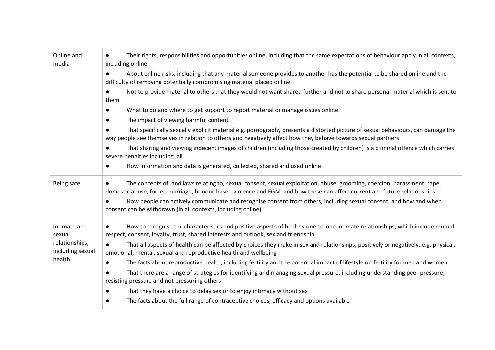| Online and<br>media                                          | Their rights, responsibilities and opportunities online, including that the same expectations of behaviour apply in all contexts,<br>including online                                                                                                 |  |  |  |
|--------------------------------------------------------------|-------------------------------------------------------------------------------------------------------------------------------------------------------------------------------------------------------------------------------------------------------|--|--|--|
|                                                              | About online risks, including that any material someone provides to another has the potential to be shared online and the<br>difficulty of removing potentially compromising material placed online                                                   |  |  |  |
|                                                              | Not to provide material to others that they would not want shared further and not to share personal material which is sent to<br>them                                                                                                                 |  |  |  |
|                                                              | What to do and where to get support to report material or manage issues online<br>$\bullet$                                                                                                                                                           |  |  |  |
|                                                              | The impact of viewing harmful content<br>$\bullet$                                                                                                                                                                                                    |  |  |  |
|                                                              | That specifically sexually explicit material e.g. pornography presents a distorted picture of sexual behaviours, can damage the<br>way people see themselves in relation to others and negatively affect how they behave towards sexual partners      |  |  |  |
|                                                              | That sharing and viewing indecent images of children (including those created by children) is a criminal offence which carries<br>$\bullet$<br>severe penalties including jail                                                                        |  |  |  |
|                                                              | How information and data is generated, collected, shared and used online<br>$\bullet$                                                                                                                                                                 |  |  |  |
| Being safe                                                   | The concepts of, and laws relating to, sexual consent, sexual exploitation, abuse, grooming, coercion, harassment, rape,<br>domestic abuse, forced marriage, honour-based violence and FGM, and how these can affect current and future relationships |  |  |  |
|                                                              | How people can actively communicate and recognise consent from others, including sexual consent, and how and when<br>consent can be withdrawn (in all contexts, including online)                                                                     |  |  |  |
| Intimate and<br>sexual<br>relationships,<br>including sexual | How to recognise the characteristics and positive aspects of healthy one-to-one intimate relationships, which include mutual<br>respect, consent, loyalty, trust, shared interests and outlook, sex and friendship                                    |  |  |  |
|                                                              | That all aspects of health can be affected by choices they make in sex and relationships, positively or negatively, e.g. physical,<br>$\bullet$<br>emotional, mental, sexual and reproductive health and wellbeing                                    |  |  |  |
| health                                                       | The facts about reproductive health, including fertility and the potential impact of lifestyle on fertility for men and women<br>$\bullet$                                                                                                            |  |  |  |
|                                                              | That there are a range of strategies for identifying and managing sexual pressure, including understanding peer pressure,<br>resisting pressure and not pressuring others                                                                             |  |  |  |
|                                                              | That they have a choice to delay sex or to enjoy intimacy without sex<br>$\bullet$                                                                                                                                                                    |  |  |  |
|                                                              | The facts about the full range of contraceptive choices, efficacy and options available<br>$\bullet$                                                                                                                                                  |  |  |  |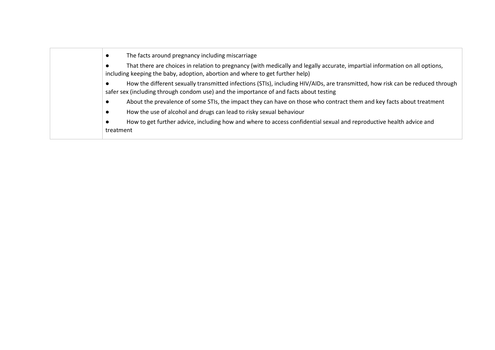| The facts around pregnancy including miscarriage                                                                                                                                                                         |  |  |
|--------------------------------------------------------------------------------------------------------------------------------------------------------------------------------------------------------------------------|--|--|
| That there are choices in relation to pregnancy (with medically and legally accurate, impartial information on all options,<br>including keeping the baby, adoption, abortion and where to get further help)             |  |  |
| How the different sexually transmitted infections (STIs), including HIV/AIDs, are transmitted, how risk can be reduced through<br>safer sex (including through condom use) and the importance of and facts about testing |  |  |
| About the prevalence of some STIs, the impact they can have on those who contract them and key facts about treatment                                                                                                     |  |  |
| How the use of alcohol and drugs can lead to risky sexual behaviour                                                                                                                                                      |  |  |
| How to get further advice, including how and where to access confidential sexual and reproductive health advice and<br>treatment                                                                                         |  |  |